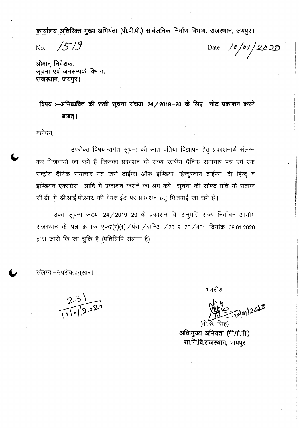कार्यालय अतिरिक्त मुख्य अभियंता (पी.पी.पी.) सार्वजनिक निर्माण विभाग, राजस्थान, जयपुर।

No. **/5/9** Date: 10/01/2020

श्रीमान् निदेशक, **~ ~ \'1'"I'fIAOIcfi ~,** राजस्थान, जयपुर।

**<sup>~</sup> :~ <sup>~</sup> <sup>~</sup> <sup>~</sup> <sup>~</sup> :24/2019-20 <sup>~</sup> <sup>~</sup>** -.nc !;!cpl~li1 m बाबत् ।

महोदय,

उपरोक्त विषयान्तर्गत सूचना की सात प्रतियां विज्ञापन हेतु प्रकाशनार्थ संलग्न कर भिजवायी जा रही हैं जिसका प्रकाशन दो राज्य स्तरीय दैनिक समाचार पत्र एवं एक राष्ट्रीय दैनिक समाचार पत्र जैसे टाईम्स ऑफ इण्डिया, हिन्दुस्तान टाईम्स, दी हिन्दू व इण्डियन एक्सप्रेस आदि में प्रकाशन कराने का श्रम करें। सूचना की सॉफ्ट प्रति भी संलग्न :<br>सी.डी. में डी.आई.पी.आर. की वेबसाईट पर प्रकाशन हेतु भिजवाई जा रही है।

उक्त सूचना संख्या 24/2019-20 के प्रकाशन कि अनुमति राज्य निर्वाचन आयोग राजस्थान के पत्र क्रमाक एफ7(7)(1)/पंचा/रानिआ/2019-20/401 दिनांक 09.01.2020 द्वारा जारी कि जा चुकि है (प्रतिलिपि संलग्न है)।

संलग्नः-उपरोक्तानुसार।

 $231$ <br>10/01/2020

भवदीय

 $70|01|2020$ 

 $(d\overline{n},\overline{\overline{\omega}})$ . सिंह) अति.मुख्य अभियंता (पी.पी.पी.) सा.नि.वि.राजस्थान, जयपुर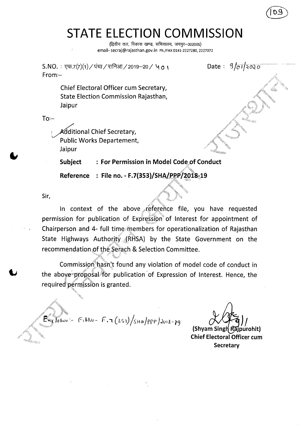# **STATE ELECTION COMMISSION**

(द्वितीय तल, विकास खण्ड, सचिवालय, जयपुर-302005) email- secraj@rajasthan.gov.in Ph./FAX 0141-2227280, 2227072

Date:  $9/01/2020$  $S.NO. : \nabla F.7(7)(1)/\nabla T$ चा / रानिआ $/$  2019—20 /  $\Delta$  o  $\Delta$ From:- Chief Electoral Officer cum Secretary,

State Election Commission Rajasthan, Jaipur

 $To:-$ 

Additional Chief Secretary, Public Works Departement, Jaipur

**Subject : For Permission in Model Code of Conduct**

**Reference : File no. - F.7(353)/SH,**

Sir,

In context of the above reference file, you have requested permission for publication of Expression of Interest for appointment of Chairperson and 4- full time members for operationalization of Rajasthan State Highways Authority  $(RHSA)$  by the State Government on the recommendation of the Serach & Selection Committee.

Commission hasn't found any violation of model code of conduct in the above proposal for publication of Expression of Interest. Hence, the required<sup>t</sup> permission is granted.

 $E_{\text{wc}}$  losure =  $F_{i\mu}N_{0} = F_{i\mu} (353)/sin\rho_{PP}/sin\rho_{2018-}g$ 

(Shyam Singh Rajpurohit) **Chief Electoral Officer cum Secretary**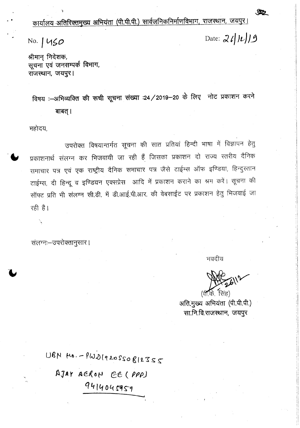कार्यालय अतिरिक्तमुख्य अभियंता (पी.पी.पी.) सार्वजनिकनिर्माणविभाग, राजस्थान, जयपुर।

No. *111~O*

Date: *J '/ It))3*

SP2

श्रीमान् निदेशक, **सूचना एवं जनसम्पर्क विभाग,** राजस्थान, जयपुर।

विषय :-शभिव्यक्ति की रूची सूचना संख्या :24 / 2019-20 के लिए नोट प्रकाशन करने बाबत् ।

महोदय,

उपरोक्त विषयान्तर्गत सूचना की सात प्रतियां हिन्दी भाषा में विज्ञापन हेतु प्रकाशनार्थ संलग्न कर भिजवायी जा रही हैं जिसका प्रकाशन दो राज्य स्तरीय दैनिक समाचार पत्र एवं एक राष्ट्रीय दैनिक समाचार पत्र जैसे टाईम्स ऑफ इण्डिया, हिन्दुस्तान टाईम्स, दी हिन्दू व इण्डियन एक्सप्रेस आदि में प्रकाशन कराने का श्रम करें। सूचना की सॉफ्ट प्रति भी संलग्न सी.डी. में डी.आई.पी.आर. की वेबसाईट पर प्रकाशन हेतु भिजवाई जा रही है।

संलग्नः-उपरोक्तानुसार।

भवदीय

 $(4.7.7)$  **R**ig

अति.मुख्य अभियंता (पी.पी.पी.) सा.नि.वि.राजस्थान, जयपूर

 $DSZZZ9|92020420$ AJAY AERON EE (PPP) **Q41404.fGrS-,**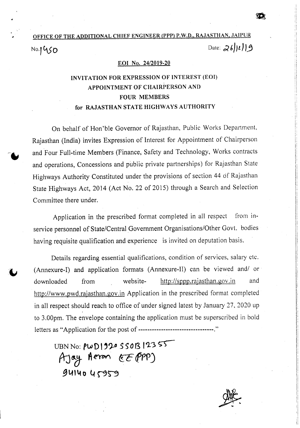### OFFICE OF THE ADDITIONAL CHIEF ENGINEER (PPP) P.W.D., RAJASTHAN, JAIPUR Date: 26/11/9 No.1450

#### EOI No. *24/2019-20*

### INVITATION FOR EXPRESSION OF INTEREST (EOI) APPOINTMENT OF CHAIRPERSON AND FOUR MEMBERS for RAJASTHAN STATE HIGHWAYS AUTHORITY

On behalf of Hori'ble Governor of Rajasthan, Public Works Department, Rajasthan (India) invites Expression of Interest for Appointment of Chairperson and Four Full-time Members (Finance, Safety and Technology, Works contracts and operations, Concessions and public private partnerships) for Rajasthan State Highways Authority Constituted under the provisions of section 44 of Rajasthan State Highways Act, 2014 (Act No. 22 of 2015) through a Search and Selection Committee there under.

Application in the prescribed format completed in all respect from inservice personnel of State/Central Government Organisations/Other Govt. bodies having requisite qualification and experience is invited on deputation basis.

Details regarding essential qualifications, condition of services, salary etc . (Annexure-I) and application formats (Annexure-II) can be viewed and/ or downloaded from website- http://sppp.rajasthan.gov.in and http://www.pwd.rajasthan.gov.in Application in the prescribed format completed in all respect should reach to office of under signed latest by January 27,2020 up to 3.00pm. The envelope containing the application must be superscribed in bold letters as "Application for the post of ---------------------------------."

UBN No:  $\mu$ w D1920 550B12355 A Jay Aeron *EE PP*P **\_gl41\.to It ~N**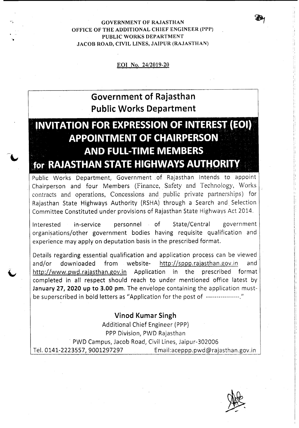GOVERNMENT OF RAJASTHAN OFFICE OF THE ADDITIONAL CHIEF ENGINEER (PPP) PUBLIC WORKS DEPARTMENT JACOB ROAD, CIVIL LINES, JAIPUR (RAJASTHAN)

'.

#### EOI No. *24/2019-20*

## **Government of Rajasthan Public Works Department**

## **INVITATION FOR EXPRESSION OF INTEREST (EOI) APPOINTMENT OF CHAIRPERSON AND FULL-TIME MEMBERS** for RAJASTHAN STATE HIGHWAYS AUTHORITY

Public Works Department, Government .of Rajasthan Intends to appoint Chairperson and four Members (Finance, Safety and Technology, Works contracts and operations, Concessions and public private partnerships) for Rajasthan State Highways Authority (RSHA) through a Search and. Selection Committee Constituted under provisions of Rajasthan State Highways Act 2014.

Interested in-service personnel of State/Central government organisations/other government bodies having requisite qualification and experience may apply on deputation basis in the prescribed format.

Details regarding essential qualification and application process can be viewed and/or downloaded from website- http://sppp.rajasthan.gov.in and http://www.pwd.rajasthan.gov.in Application in the prescribed format completed in all respect should reach to under mentioned office latest by **January** 27, **2020 up to 3.00** pm. The envelope containing the application mustbe superscribed in bold letters as "Application for the post of  $\cdots$ <sup>"</sup>

#### **Vinod Kumar Singh**

Additional Chief Engineer (PPP) PPP Division, PWD Rajasthan . PWD Campus, Jacob Road, Civil Lines, Jaipur-302006 Tel. 0141-2223557, 9001297297 Email:aceppp.pwd@rajasthan.gov.in

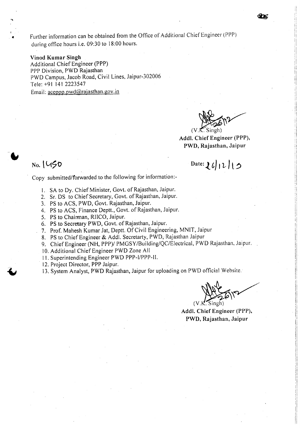• Further information can be obtained from the Office of Additional Chief Engineer (PPP) during office hours i.e, 09:30 to 18:00 hours.

#### Vinod Kumar Singh

..

Additional Chief Engineer (PPP) PPP Division, PWD Rajasthan PWD Campus, Jacob Road, Civil Lines, Jaipur-302006 Tele: +91 1412223547 Email:  $aceppp.pwd@rajasthan.gov.in$ 

*~\,y*  $({\mathsf{V}}. {\mathsf{K}}.$ 

Add!. Chief Engineer (PPP), PWD, Rajasthan, Jaipur

Date:  $26/12/15$ 

## No. \ **L1\$O**

Copy submitted/forwarded to the following for information:-

- I. SA to Dy. Chief Minister, Govt. of Rajasthan, Jaipur,
- 2. Sr. DS to Chief Secretary, Govt. of Rajasthan, Jaipur.
- 3. PS to ACS, PWD, Govt, Rajasthan, Jaipur.
- 4. PS to ACS, Finance Deptt., Govt. of Rajasthan, Jaipur,
- 5. PS to Chairman, RIlCO, Jaipur.
- 6. PS to Secretary PWD, Govt. of Rajasthan, Jaipur.
- 7. Prof. Mahesh Kumar Jat, Deptt. Of Civil Engineering, MNIT, Jaipur
- 8. PS to Chief Engineer & Add!. Secretarty, PWD, Rajasthan Jaipur
- 9. Chief Engineer (NH, PPP)/ PMGSY/Building/QC/Electrical, PWD Rajasthan, Jaipur.
- 10. Additional Chief Engineer PWD Zone All
- 11. Superintending Engineer PWD PPP-I/PPP-II.
- 12. Project Director, PPP Jaipur.
- 13. System Analyst, PWD Rajasthan, Jaipur for uploading on PWD official Website.

 $\alpha$  de Singh)

Add!. Chief Engineer (PPP), PWD, Rajasthan, Jaipur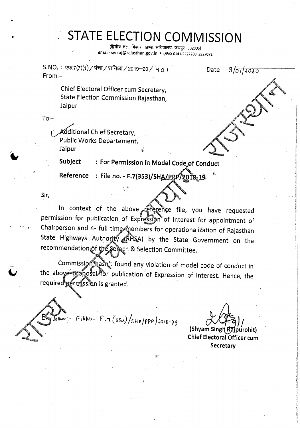# **STATE ELECTION COMMISSION**

(द्वितीय तल, विकास खण्ड, सचिवालय, जयपुर-302005) email- secraj@rajasthan.gov.in Ph./FAX 0141-2227280, 2227072.

 $S.NO. : \nabla \cdot \nabla \cdot (7)(1) \times \nabla \cdot \nabla \cdot (7)$ रानिआ $1/2019-20 \times 40$ । From:-

Date: 9/01/2020

. I I

Chief Electoral Officer cum Secretary, State Election Commission Rajasthan, Jaipur

 $To -$ 

•

Additional Chief Secretary, Public Works Departement, Jaipur *c.*

Subject : For Permission in Model Code<sub>s</sub>of Conduct

'~"

 $Reference$  : File no. - F.7(353)/SHA/PPP/2018-19

 $\mathbb{R}^+$ 

Sir,

..

In context of the above reference file, you have requested permission for publication of Expression of Interest for appointment of  $\cdot$  Chairperson and 4- full time finembers for operationalization of Rajasthan State Highways Authority (RHSA) by the State Government on the

Commission hasn't found any violation of model code of conduct in the aboye proposal for publication of Expression of Interest. Hence, the required permission is granted.

 $\frac{1}{108}$  = Fighto- F.7 (353)/SHA/PPP)2018-79

*~~)l •*

(Shyam Singh I Chief Electoral Officer cum **Secretary**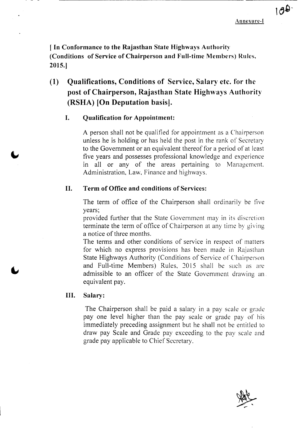$100$ 

**[ In Conformance to the Rajasthan State Highways Authority (Conditions of Service of Chairperson and Full-time Members) Rules, 2015.]**

## **(1) Qualifications, Conditions of Service, Salary etc. for the post of Chairperson, Rajasthan State Highways Authority (RSHA) [On Deputation basis].**

#### I. **Qualification for Appointment:**

A person shall not be qualified for appointment as a Chairperson unless he is holding or has held the post in the rank of Secretary to the Government or an equivalent thereof for a period of at least five years and possesses professional knowledge and experience in all or any of the areas pertaining to Management. Administration, Law, Finance and highways.

#### **II. Term of Office and conditions of Services:**

The term of office of the Chairperson shall ordinarily be five years;

provided further that the State Government may in its discretion terminate the term of office of Chairperson at any time by giving a notice of three months.

The terms and other conditions of service in respect of matters for which no express provisions has been made in Rajasthan State Highways Authority (Conditions of Service of Chairperson and Full-time Members) Rules, 2015 shall be such as are admissible to an officer of the State Government drawing an. equivalent pay.

#### **III. Salary:**

The Chairperson shall be paid a salary in a pay scale or grade pay one level higher than the pay scale or grade pay of his immediately preceding assignment but he shall not be entitled to draw pay Scale and Grade pay exceeding to the pay scale and grade pay applicable to Chief Secretary.

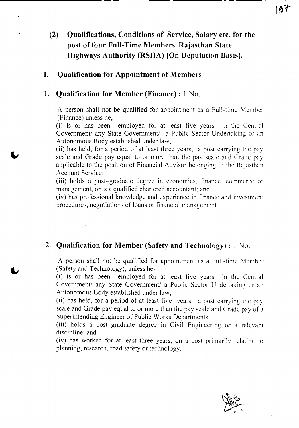## **(2) Qualifications, Conditions of Service, Salary etc. for the post of four Full-Time Members Rajasthan State Highways Authority (RSHA) [On Deputation** Basis].

### **I. Qualification for Appointment of Members**

#### **1. Qualification for Member (Finance) :** 1 No.

A person shall not be qualified for appointment as a Full-time Member (Finance) unless he, -

(i) is or has been employed for at least five years in the Central Government/ any State Government/ a Public Sector Undertaking or an Autonomous Body established under law;

(ii) has held, for a period of at least three years, a post carrying the pay scale and Grade pay equal to or more than the pay scale and Grade pay applicable to the position of Financial Advisor belonging to the Rajasthan Account Service:

(iii) holds a post-graduate degree in economics, finance. commerce or management, or is a qualified chartered accountant; and

(iv) has professional knowledge and experience in finance and investment procedures, negotiations of loans or financial management.

#### **2. Qualification for Member (Safety and Technology) :** 1 No.

A person shall not be qualified for appointment as a Full-time Member (Safety and Technology), unless he-

(i) is or has been employed for at least five years in the Central Government/ any State Government/ a Public Sector Undertaking or an Autonomous Body established under law;

(ii) has held, for a period of at least five years, a post carrying the pay scale and Grade pay equal to or more than the pay scale and Grade pay of a Superintending Engineer of Public Works Departments:

(iii) holds a post-graduate degree in Civil Engineering or a relevant discipline; and

(iv) has worked for at least three years, on a post primarily relating to planning, research, road safety or technology.

197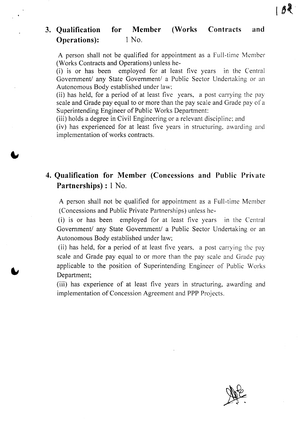#### **3. Qualification Operations): for Member (Works** 1 No. **Contracts and**

A person shall not be qualified for appointment as a Full-time Member (Works Contracts and Operations) unless he-

(i) is or has been employed for at least five years in the Central Government/ any State Government/ a Public Sector Undertaking or an Autonomous Body established under law;

(ii) has held, for a period of at least five years, a post carrying the pay scale and Grade pay equal to or more than the pay scale and Grade pay of a Superintending Engineer of Public Works Department:

(iii) holds a degree in Civil Engineering or a relevant discipline; and

(iv) has experienced for at least five years in structuring, awarding and implementation of works contracts.

## **4. Qualification for Member (Concessions and Public Private Partnerships) :** 1 No.

A person shall not be qualified for appointment as a Full-time Member (Concessions and Public Private Partnerships) unless he-

(i) is or has been employed for at least five years in the Central Government/ any State Government/ a Public Sector Undertaking or an Autonomous Body established under law;

(ii) has held, for a period of at least five years, a post carrying the pay scale and Grade pay equal to or more than the pay scale and Grade pay applicable to the position of Superintending Engineer of Public Works Department;

(iii) has experience of at least five years in structuring, awarding and implementation of Concession Agreement and PPP Projects.



 $188$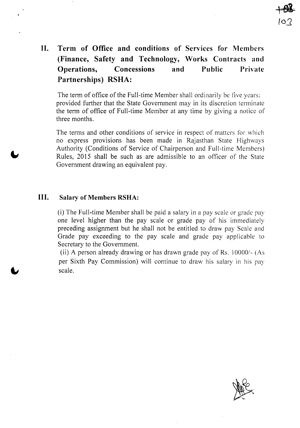## **II. Term of Office and conditions of Services for Members (Finance, Safety and Technology, Works Contracts and Operations, Concessions and Public Private Partnerships) RSHA:**

The term of office of the Full-time Member shall ordinarily be five years: provided further that the State Government may in its discretion terminate the term of office of Full-time Member at any time by giving a notice of three months.

The terms and other conditions of service in respect of matters for which no express provisions has been made in Rajasthan State Highways Authority (Conditions of Service of Chairperson and Full-time Members) Rules, 2015 shall be such as are admissible to an officer of the State Government drawing an equivalent pay.

#### **III. Salary of Members RSHA:**

(i) The Full-time Member shall be paid a salary in a pay scale or grade pay one level higher than the pay scale or grade pay of his immediately preceding assignment but he shall not be entitled to draw pay Scale and Grade pay exceeding to the pay scale and grade pay applicable to Secretary to the Government.

(ii) A person already drawing or has drawn grade pay of Rs. 10000/- (As per Sixth Pay Commission) will continue to draw his salary in his pay scale.

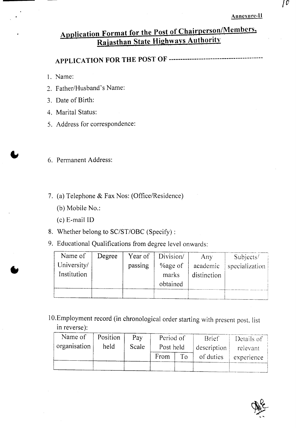#### Annexure-II

## **Application Format for the Post of Chairpers?n/Members, Rajasthan State Highways Authority**

**APPLICATION FOR THE POST OF -----------------------------------------**

1. Name:

- 2. Father/Husband's Name:
- 3. Date of Birth:
- 4. Marital Status:
- 5. Address for correspondence:
- 6. Permanent Address:
- 7. (a) Telephone & Fax Nos: (Office/Residence)
	- (b) Mobile No.:
	- (c) E-mail ID

•

- 8. Whether belong to SC/ST/OBC (Specify) :
- 9. Educational Qualifications from degree level onwards:

| Name of     | Degree | Year of | Division/                  | Any         | Subjects/      |
|-------------|--------|---------|----------------------------|-------------|----------------|
| University/ |        | passing | <i>Y</i> <sub>dge</sub> of | academic    | specialization |
| Institution |        |         | marks                      | distinction |                |
|             |        |         | obtained                   |             |                |
|             |        |         |                            |             |                |

10.Employment record (in chronological order starting with present post, list in reverse):

| Name of      | Position | Pay   | Period of |    | <b>Brief</b> | Details of |
|--------------|----------|-------|-----------|----|--------------|------------|
| organisation | held     | Scale | Post held |    | description  | relevant   |
|              |          |       | From      | To | of duties    | experience |
|              |          |       |           |    |              |            |

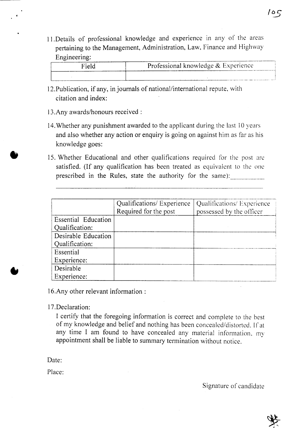l l.Details of professional knowledge and experience in any of the areas pertaining to the Management, Administration, Law, Finance and Highway Engineering:

| Lugunvulug. |                                     |
|-------------|-------------------------------------|
| Field       | Professional knowledge & Experience |
|             |                                     |

- 12.Publication, if any, in journals of national/international repute, with citation and index:
- 13.Any awards/honours received:
- 14.Whether any punishment awarded to the applicant during the last 10 years and also whether any action or enquiry is going on against him as far as his knowledge goes:
- 15. Whether Educational and other qualifications required for the post arc satisfied. (If any qualification has been treated as equivalent to the one prescribed in the Rules, state the authority for the same):

|                     | Qualifications/ Experience | Qualifications/ Experience |  |
|---------------------|----------------------------|----------------------------|--|
|                     | Required for the post      | possessed by the officer   |  |
| Essential Education |                            |                            |  |
| Qualification:      |                            |                            |  |
| Desirable Education |                            |                            |  |
| Qualification:      |                            |                            |  |
| Essential           |                            |                            |  |
| Experience:         |                            |                            |  |
| Desirable           |                            |                            |  |
| Experience:         |                            |                            |  |

I6.Any other relevant information:

I7.Declaration:

I certify that the foregoing information is correct and complete to the best of my knowledge and belief and nothing has been concealed/distorted. If at any time I am found to have concealed any material information. my appointment shall be liable to summary termination without notice.

Date<sup>.</sup>

•

Place:

Signature of candidate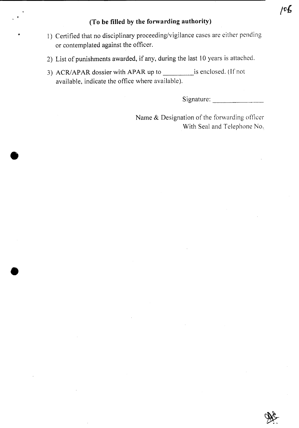#### **(To be filled by the forwarding authority)**

- 1) Certified that no disciplinary proceeding/vigilance cases are either pending or contemplated against the officer.
- 2) List of punishments awarded, if any, during the last 10 years is attached.
- 3) ACR/APAR dossier with APAR up to is enclosed. (If not available, indicate the office where available).

Signature: \_

Name & Designation of the forwarding officer With Seal and Telephone No.